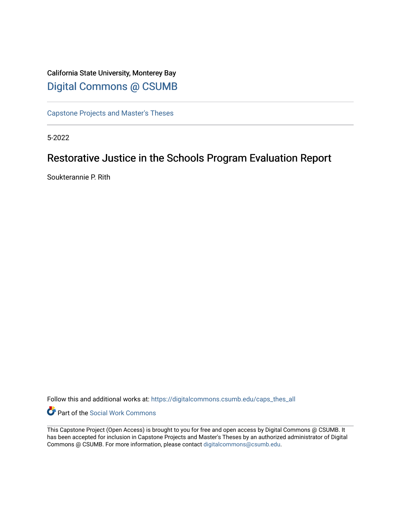# California State University, Monterey Bay [Digital Commons @ CSUMB](https://digitalcommons.csumb.edu/)

[Capstone Projects and Master's Theses](https://digitalcommons.csumb.edu/caps_thes_all)

5-2022

# Restorative Justice in the Schools Program Evaluation Report

Soukterannie P. Rith

Follow this and additional works at: [https://digitalcommons.csumb.edu/caps\\_thes\\_all](https://digitalcommons.csumb.edu/caps_thes_all?utm_source=digitalcommons.csumb.edu%2Fcaps_thes_all%2F1289&utm_medium=PDF&utm_campaign=PDFCoverPages)

Part of the [Social Work Commons](https://network.bepress.com/hgg/discipline/713?utm_source=digitalcommons.csumb.edu%2Fcaps_thes_all%2F1289&utm_medium=PDF&utm_campaign=PDFCoverPages)

This Capstone Project (Open Access) is brought to you for free and open access by Digital Commons @ CSUMB. It has been accepted for inclusion in Capstone Projects and Master's Theses by an authorized administrator of Digital Commons @ CSUMB. For more information, please contact [digitalcommons@csumb.edu](mailto:digitalcommons@csumb.edu).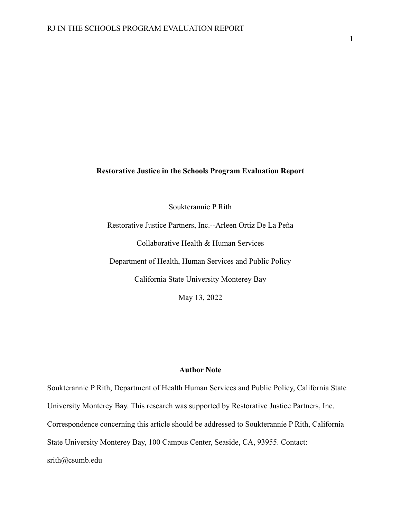## **Restorative Justice in the Schools Program Evaluation Report**

Soukterannie P Rith

Restorative Justice Partners, Inc.--Arleen Ortiz De La Peña Collaborative Health & Human Services Department of Health, Human Services and Public Policy California State University Monterey Bay

May 13, 2022

## **Author Note**

Soukterannie P Rith, Department of Health Human Services and Public Policy, California State University Monterey Bay. This research was supported by Restorative Justice Partners, Inc. Correspondence concerning this article should be addressed to Soukterannie P Rith, California State University Monterey Bay, 100 Campus Center, Seaside, CA, 93955. Contact: srith@csumb.edu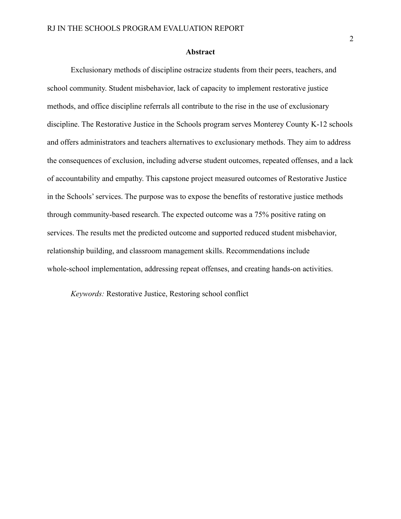### **Abstract**

Exclusionary methods of discipline ostracize students from their peers, teachers, and school community. Student misbehavior, lack of capacity to implement restorative justice methods, and office discipline referrals all contribute to the rise in the use of exclusionary discipline. The Restorative Justice in the Schools program serves Monterey County K-12 schools and offers administrators and teachers alternatives to exclusionary methods. They aim to address the consequences of exclusion, including adverse student outcomes, repeated offenses, and a lack of accountability and empathy. This capstone project measured outcomes of Restorative Justice in the Schools' services. The purpose was to expose the benefits of restorative justice methods through community-based research. The expected outcome was a 75% positive rating on services. The results met the predicted outcome and supported reduced student misbehavior, relationship building, and classroom management skills. Recommendations include whole-school implementation, addressing repeat offenses, and creating hands-on activities.

*Keywords:* Restorative Justice, Restoring school conflict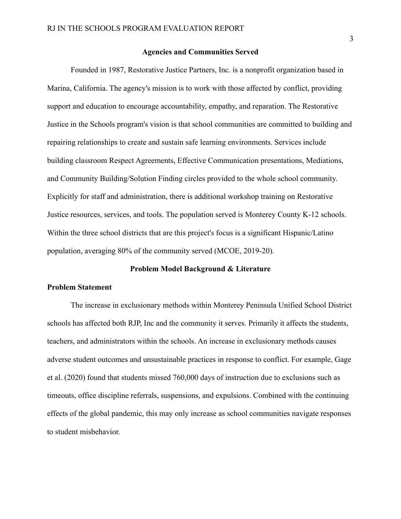### **Agencies and Communities Served**

Founded in 1987, Restorative Justice Partners, Inc. is a nonprofit organization based in Marina, California. The agency's mission is to work with those affected by conflict, providing support and education to encourage accountability, empathy, and reparation. The Restorative Justice in the Schools program's vision is that school communities are committed to building and repairing relationships to create and sustain safe learning environments. Services include building classroom Respect Agreements, Effective Communication presentations, Mediations, and Community Building/Solution Finding circles provided to the whole school community. Explicitly for staff and administration, there is additional workshop training on Restorative Justice resources, services, and tools. The population served is Monterey County K-12 schools. Within the three school districts that are this project's focus is a significant Hispanic/Latino population, averaging 80% of the community served (MCOE, 2019-20).

#### **Problem Model Background & Literature**

### **Problem Statement**

The increase in exclusionary methods within Monterey Peninsula Unified School District schools has affected both RJP, Inc and the community it serves. Primarily it affects the students, teachers, and administrators within the schools. An increase in exclusionary methods causes adverse student outcomes and unsustainable practices in response to conflict. For example, Gage et al. (2020) found that students missed 760,000 days of instruction due to exclusions such as timeouts, office discipline referrals, suspensions, and expulsions. Combined with the continuing effects of the global pandemic, this may only increase as school communities navigate responses to student misbehavior.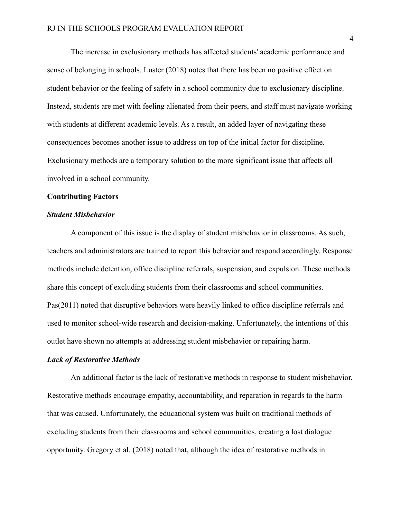The increase in exclusionary methods has affected students' academic performance and sense of belonging in schools. Luster (2018) notes that there has been no positive effect on student behavior or the feeling of safety in a school community due to exclusionary discipline. Instead, students are met with feeling alienated from their peers, and staff must navigate working with students at different academic levels. As a result, an added layer of navigating these consequences becomes another issue to address on top of the initial factor for discipline. Exclusionary methods are a temporary solution to the more significant issue that affects all involved in a school community.

## **Contributing Factors**

## *Student Misbehavior*

A component of this issue is the display of student misbehavior in classrooms. As such, teachers and administrators are trained to report this behavior and respond accordingly. Response methods include detention, office discipline referrals, suspension, and expulsion. These methods share this concept of excluding students from their classrooms and school communities. Pas(2011) noted that disruptive behaviors were heavily linked to office discipline referrals and used to monitor school-wide research and decision-making. Unfortunately, the intentions of this outlet have shown no attempts at addressing student misbehavior or repairing harm.

#### *Lack of Restorative Methods*

An additional factor is the lack of restorative methods in response to student misbehavior. Restorative methods encourage empathy, accountability, and reparation in regards to the harm that was caused. Unfortunately, the educational system was built on traditional methods of excluding students from their classrooms and school communities, creating a lost dialogue opportunity. Gregory et al. (2018) noted that, although the idea of restorative methods in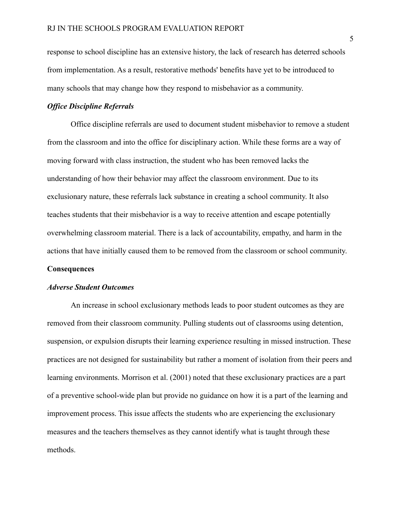response to school discipline has an extensive history, the lack of research has deterred schools from implementation. As a result, restorative methods' benefits have yet to be introduced to many schools that may change how they respond to misbehavior as a community.

## *Office Discipline Referrals*

Office discipline referrals are used to document student misbehavior to remove a student from the classroom and into the office for disciplinary action. While these forms are a way of moving forward with class instruction, the student who has been removed lacks the understanding of how their behavior may affect the classroom environment. Due to its exclusionary nature, these referrals lack substance in creating a school community. It also teaches students that their misbehavior is a way to receive attention and escape potentially overwhelming classroom material. There is a lack of accountability, empathy, and harm in the actions that have initially caused them to be removed from the classroom or school community.

## **Consequences**

### *Adverse Student Outcomes*

An increase in school exclusionary methods leads to poor student outcomes as they are removed from their classroom community. Pulling students out of classrooms using detention, suspension, or expulsion disrupts their learning experience resulting in missed instruction. These practices are not designed for sustainability but rather a moment of isolation from their peers and learning environments. Morrison et al. (2001) noted that these exclusionary practices are a part of a preventive school-wide plan but provide no guidance on how it is a part of the learning and improvement process. This issue affects the students who are experiencing the exclusionary measures and the teachers themselves as they cannot identify what is taught through these methods.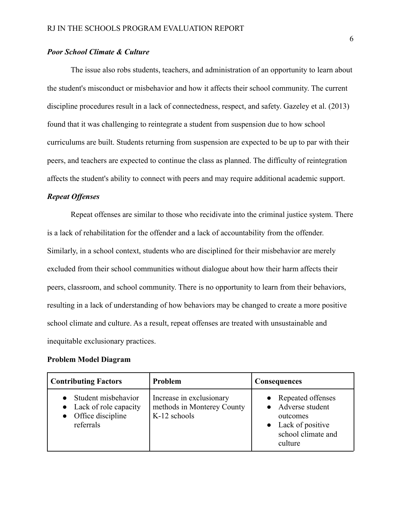## *Poor School Climate & Culture*

The issue also robs students, teachers, and administration of an opportunity to learn about the student's misconduct or misbehavior and how it affects their school community. The current discipline procedures result in a lack of connectedness, respect, and safety. Gazeley et al. (2013) found that it was challenging to reintegrate a student from suspension due to how school curriculums are built. Students returning from suspension are expected to be up to par with their peers, and teachers are expected to continue the class as planned. The difficulty of reintegration affects the student's ability to connect with peers and may require additional academic support.

## *Repeat Offenses*

Repeat offenses are similar to those who recidivate into the criminal justice system. There is a lack of rehabilitation for the offender and a lack of accountability from the offender. Similarly, in a school context, students who are disciplined for their misbehavior are merely excluded from their school communities without dialogue about how their harm affects their peers, classroom, and school community. There is no opportunity to learn from their behaviors, resulting in a lack of understanding of how behaviors may be changed to create a more positive school climate and culture. As a result, repeat offenses are treated with unsustainable and inequitable exclusionary practices.

### **Problem Model Diagram**

| <b>Contributing Factors</b>                                                              | Problem                                                                | <b>Consequences</b>                                                                                   |
|------------------------------------------------------------------------------------------|------------------------------------------------------------------------|-------------------------------------------------------------------------------------------------------|
| Student misbehavior<br>$\bullet$ Lack of role capacity<br>Office discipline<br>referrals | Increase in exclusionary<br>methods in Monterey County<br>K-12 schools | Repeated offenses<br>Adverse student<br>outcomes<br>Lack of positive<br>school climate and<br>culture |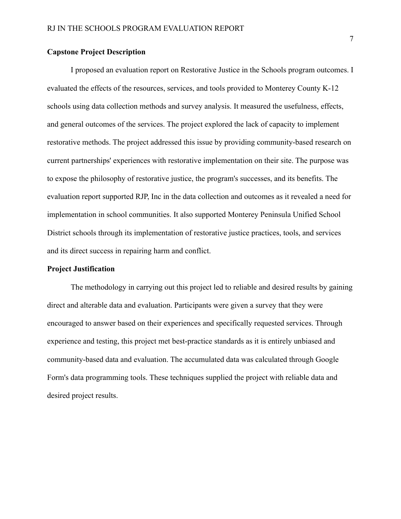## **Capstone Project Description**

I proposed an evaluation report on Restorative Justice in the Schools program outcomes. I evaluated the effects of the resources, services, and tools provided to Monterey County K-12 schools using data collection methods and survey analysis. It measured the usefulness, effects, and general outcomes of the services. The project explored the lack of capacity to implement restorative methods. The project addressed this issue by providing community-based research on current partnerships' experiences with restorative implementation on their site. The purpose was to expose the philosophy of restorative justice, the program's successes, and its benefits. The evaluation report supported RJP, Inc in the data collection and outcomes as it revealed a need for implementation in school communities. It also supported Monterey Peninsula Unified School District schools through its implementation of restorative justice practices, tools, and services and its direct success in repairing harm and conflict.

### **Project Justification**

The methodology in carrying out this project led to reliable and desired results by gaining direct and alterable data and evaluation. Participants were given a survey that they were encouraged to answer based on their experiences and specifically requested services. Through experience and testing, this project met best-practice standards as it is entirely unbiased and community-based data and evaluation. The accumulated data was calculated through Google Form's data programming tools. These techniques supplied the project with reliable data and desired project results.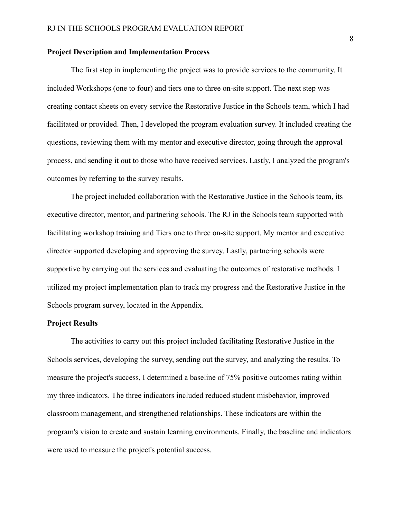### **Project Description and Implementation Process**

The first step in implementing the project was to provide services to the community. It included Workshops (one to four) and tiers one to three on-site support. The next step was creating contact sheets on every service the Restorative Justice in the Schools team, which I had facilitated or provided. Then, I developed the program evaluation survey. It included creating the questions, reviewing them with my mentor and executive director, going through the approval process, and sending it out to those who have received services. Lastly, I analyzed the program's outcomes by referring to the survey results.

The project included collaboration with the Restorative Justice in the Schools team, its executive director, mentor, and partnering schools. The RJ in the Schools team supported with facilitating workshop training and Tiers one to three on-site support. My mentor and executive director supported developing and approving the survey. Lastly, partnering schools were supportive by carrying out the services and evaluating the outcomes of restorative methods. I utilized my project implementation plan to track my progress and the Restorative Justice in the Schools program survey, located in the Appendix.

## **Project Results**

The activities to carry out this project included facilitating Restorative Justice in the Schools services, developing the survey, sending out the survey, and analyzing the results. To measure the project's success, I determined a baseline of 75% positive outcomes rating within my three indicators. The three indicators included reduced student misbehavior, improved classroom management, and strengthened relationships. These indicators are within the program's vision to create and sustain learning environments. Finally, the baseline and indicators were used to measure the project's potential success.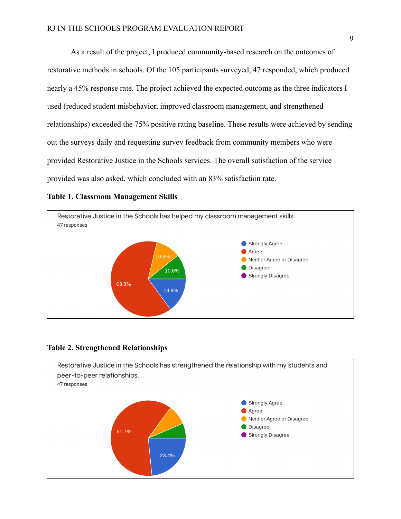As a result of the project, I produced community-based research on the outcomes of restorative methods in schools. Of the 105 participants surveyed, 47 responded, which produced nearly a 45% response rate. The project achieved the expected outcome as the three indicators I used (reduced student misbehavior, improved classroom management, and strengthened relationships) exceeded the 75% positive rating baseline. These results were achieved by sending out the surveys daily and requesting survey feedback from community members who were provided Restorative Justice in the Schools services. The overall satisfaction of the service provided was also asked, which concluded with an 83% satisfaction rate.

## **Table 1. Classroom Management Skills**



#### **Table 2. Strengthened Relationships**

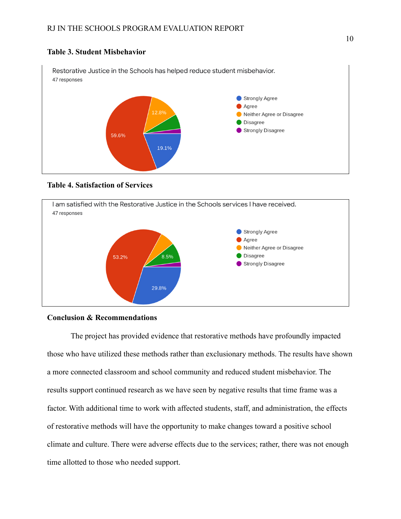# **Table 3. Student Misbehavior**



# **Table 4. Satisfaction of Services**



## **Conclusion & Recommendations**

The project has provided evidence that restorative methods have profoundly impacted those who have utilized these methods rather than exclusionary methods. The results have shown a more connected classroom and school community and reduced student misbehavior. The results support continued research as we have seen by negative results that time frame was a factor. With additional time to work with affected students, staff, and administration, the effects of restorative methods will have the opportunity to make changes toward a positive school climate and culture. There were adverse effects due to the services; rather, there was not enough time allotted to those who needed support.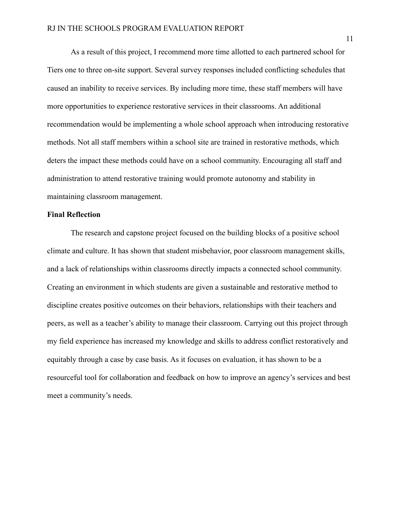As a result of this project, I recommend more time allotted to each partnered school for Tiers one to three on-site support. Several survey responses included conflicting schedules that caused an inability to receive services. By including more time, these staff members will have more opportunities to experience restorative services in their classrooms. An additional recommendation would be implementing a whole school approach when introducing restorative methods. Not all staff members within a school site are trained in restorative methods, which deters the impact these methods could have on a school community. Encouraging all staff and administration to attend restorative training would promote autonomy and stability in maintaining classroom management.

## **Final Reflection**

The research and capstone project focused on the building blocks of a positive school climate and culture. It has shown that student misbehavior, poor classroom management skills, and a lack of relationships within classrooms directly impacts a connected school community. Creating an environment in which students are given a sustainable and restorative method to discipline creates positive outcomes on their behaviors, relationships with their teachers and peers, as well as a teacher's ability to manage their classroom. Carrying out this project through my field experience has increased my knowledge and skills to address conflict restoratively and equitably through a case by case basis. As it focuses on evaluation, it has shown to be a resourceful tool for collaboration and feedback on how to improve an agency's services and best meet a community's needs.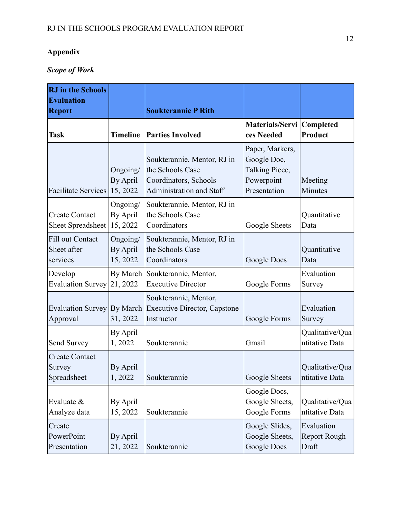# **Appendix**

# *Scope of Work*

| <b>RJ</b> in the Schools<br><b>Evaluation</b><br><b>Report</b> |                                  | <b>Soukterannie P Rith</b>                                                                           |                                                                                |                                     |
|----------------------------------------------------------------|----------------------------------|------------------------------------------------------------------------------------------------------|--------------------------------------------------------------------------------|-------------------------------------|
| <b>Task</b>                                                    | <b>Timeline</b>                  | <b>Parties Involved</b>                                                                              | Materials/Servi<br>ces Needed                                                  | Completed<br>Product                |
| <b>Facilitate Services</b>                                     | Ongoing/<br>By April<br>15, 2022 | Soukterannie, Mentor, RJ in<br>the Schools Case<br>Coordinators, Schools<br>Administration and Staff | Paper, Markers,<br>Google Doc,<br>Talking Piece,<br>Powerpoint<br>Presentation | Meeting<br>Minutes                  |
| <b>Create Contact</b><br>Sheet Spreadsheet                     | Ongoing/<br>By April<br>15, 2022 | Soukterannie, Mentor, RJ in<br>the Schools Case<br>Coordinators                                      | Google Sheets                                                                  | Quantitative<br>Data                |
| Fill out Contact<br>Sheet after<br>services                    | Ongoing/<br>By April<br>15, 2022 | Soukterannie, Mentor, RJ in<br>the Schools Case<br>Coordinators                                      | Google Docs                                                                    | Quantitative<br>Data                |
| Develop<br>Evaluation Survey                                   | 21, 2022                         | By March Soukterannie, Mentor,<br><b>Executive Director</b>                                          | Google Forms                                                                   | Evaluation<br>Survey                |
| Approval                                                       | 31, 2022                         | Soukterannie, Mentor,<br>Evaluation Survey By March Executive Director, Capstone<br>Instructor       | Google Forms                                                                   | Evaluation<br>Survey                |
| Send Survey                                                    | By April<br>1,2022               | Soukterannie                                                                                         | Gmail                                                                          | Qualitative/Qua<br>ntitative Data   |
| <b>Create Contact</b><br>Survey<br>Spreadsheet                 | By April<br>1,2022               | Soukterannie                                                                                         | Google Sheets                                                                  | Qualitative/Qua<br>ntitative Data   |
| Evaluate $\&$<br>Analyze data                                  | By April<br>15, 2022             | Soukterannie                                                                                         | Google Docs,<br>Google Sheets,<br>Google Forms                                 | Qualitative/Qua<br>ntitative Data   |
| Create<br>PowerPoint<br>Presentation                           | By April<br>21, 2022             | Soukterannie                                                                                         | Google Slides,<br>Google Sheets,<br>Google Docs                                | Evaluation<br>Report Rough<br>Draft |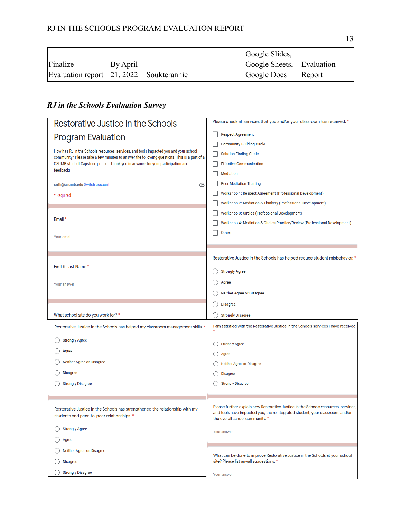|                                         |          | Google Slides,            |        |
|-----------------------------------------|----------|---------------------------|--------|
| Finalize                                | By April | Google Sheets, Evaluation |        |
| Evaluation report 21, 2022 Soukterannie |          | Google Docs               | Report |

# *RJ in the Schools Evaluation Survey*

| Restorative Justice in the Schools                                                                                                                                                   | Please check all services that you and/or your classroom has received. *             |  |  |
|--------------------------------------------------------------------------------------------------------------------------------------------------------------------------------------|--------------------------------------------------------------------------------------|--|--|
| <b>Program Evaluation</b>                                                                                                                                                            | <b>Respect Agreement</b>                                                             |  |  |
|                                                                                                                                                                                      | <b>Community Building Circle</b>                                                     |  |  |
| How has RJ in the Schools resources, services, and tools impacted you and your school<br>community? Please take a few minutes to answer the following questions. This is a part of a | <b>Solution Finding Circle</b>                                                       |  |  |
| CSUMB student Capstone project. Thank you in advance for your participation and                                                                                                      | <b>Effective Communication</b>                                                       |  |  |
| feedback!                                                                                                                                                                            | Mediation                                                                            |  |  |
| srith@csumb.edu Switch account<br>⊙                                                                                                                                                  | <b>Peer Mediation Training</b>                                                       |  |  |
| * Required                                                                                                                                                                           | Workshop 1: Respect Agreement (Professional Development)                             |  |  |
|                                                                                                                                                                                      | Workshop 2: Mediation & Thinkery (Professional Development)                          |  |  |
|                                                                                                                                                                                      | Workshop 3: Circles (Professional Development)                                       |  |  |
| Email*                                                                                                                                                                               | Workshop 4: Mediation & Circles Practice/Review (Professional Development)           |  |  |
| Your email                                                                                                                                                                           | Other:                                                                               |  |  |
|                                                                                                                                                                                      |                                                                                      |  |  |
|                                                                                                                                                                                      |                                                                                      |  |  |
|                                                                                                                                                                                      | Restorative Justice in the Schools has helped reduce student misbehavior. *          |  |  |
| First & Last Name *                                                                                                                                                                  | <b>Strongly Agree</b>                                                                |  |  |
| Your answer                                                                                                                                                                          | Agree                                                                                |  |  |
|                                                                                                                                                                                      | Neither Agree or Disagree                                                            |  |  |
|                                                                                                                                                                                      | <b>Disagree</b>                                                                      |  |  |
| What school site do you work for? *                                                                                                                                                  | <b>Strongly Disagree</b>                                                             |  |  |
| Restorative Justice in the Schools has helped my classroom management skills.                                                                                                        | I am satisfied with the Restorative Justice in the Schools services I have received. |  |  |
| <b>Strongly Agree</b>                                                                                                                                                                |                                                                                      |  |  |
|                                                                                                                                                                                      | <b>Strongly Agree</b>                                                                |  |  |
| Agree                                                                                                                                                                                | Agree                                                                                |  |  |
| Neither Agree or Disagree                                                                                                                                                            | Neither Agree or Disagree                                                            |  |  |
| <b>Disagree</b>                                                                                                                                                                      | <b>Disagree</b>                                                                      |  |  |
| <b>Strongly Disagree</b>                                                                                                                                                             | <b>Strongly Disagree</b>                                                             |  |  |
|                                                                                                                                                                                      |                                                                                      |  |  |
| Restorative Justice in the Schools has strengthened the relationship with my                                                                                                         | Please further explain how Restorative Justice in the Schools resources, services,   |  |  |
| students and peer-to-peer relationships. *                                                                                                                                           | and tools have impacted you, the reintegrated student, your classroom, and/or        |  |  |
|                                                                                                                                                                                      |                                                                                      |  |  |
|                                                                                                                                                                                      | the overall school community. *                                                      |  |  |
| <b>Strongly Agree</b>                                                                                                                                                                | Your answer                                                                          |  |  |
| Agree                                                                                                                                                                                |                                                                                      |  |  |
| Neither Agree or Disagree                                                                                                                                                            | What can be done to improve Restorative Justice in the Schools at your school        |  |  |
| <b>Disagree</b>                                                                                                                                                                      | site? Please list any/all suggestions. *                                             |  |  |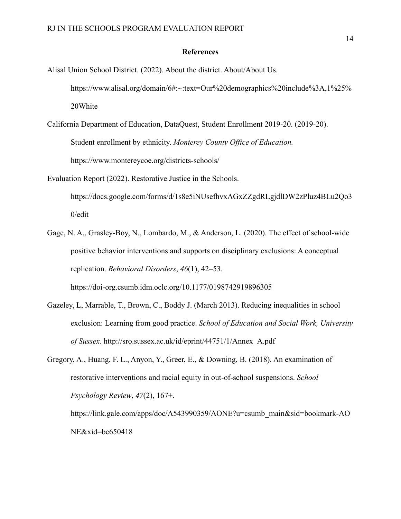## **References**

Alisal Union School District. (2022). About the district. About/About Us. https://www.alisal.org/domain/6#:~:text=Our%20demographics%20include%3A,1%25% 20White

California Department of Education, DataQuest, Student Enrollment 2019-20. (2019-20). Student enrollment by ethnicity. *Monterey County Office of Education.* https://www.montereycoe.org/districts-schools/

Evaluation Report (2022). Restorative Justice in the Schools. https://docs.google.com/forms/d/1s8e5iNUsefhvxAGxZZgdRLgjdlDW2zPluz4BLu2Qo3 0/edit

- Gage, N. A., Grasley-Boy, N., Lombardo, M., & Anderson, L. (2020). The effect of school-wide positive behavior interventions and supports on disciplinary exclusions: A conceptual replication. *Behavioral Disorders*, *46*(1), 42–53. https://doi-org.csumb.idm.oclc.org/10.1177/0198742919896305
- Gazeley, L, Marrable, T., Brown, C., Boddy J. (March 2013). Reducing inequalities in school exclusion: Learning from good practice. *School of Education and Social Work, University of Sussex.* http://sro.sussex.ac.uk/id/eprint/44751/1/Annex\_A.pdf

Gregory, A., Huang, F. L., Anyon, Y., Greer, E., & Downing, B. (2018). An examination of restorative interventions and racial equity in out-of-school suspensions. *School Psychology Review*, *47*(2), 167+. https://link.gale.com/apps/doc/A543990359/AONE?u=csumb\_main&sid=bookmark-AO

NE&xid=bc650418